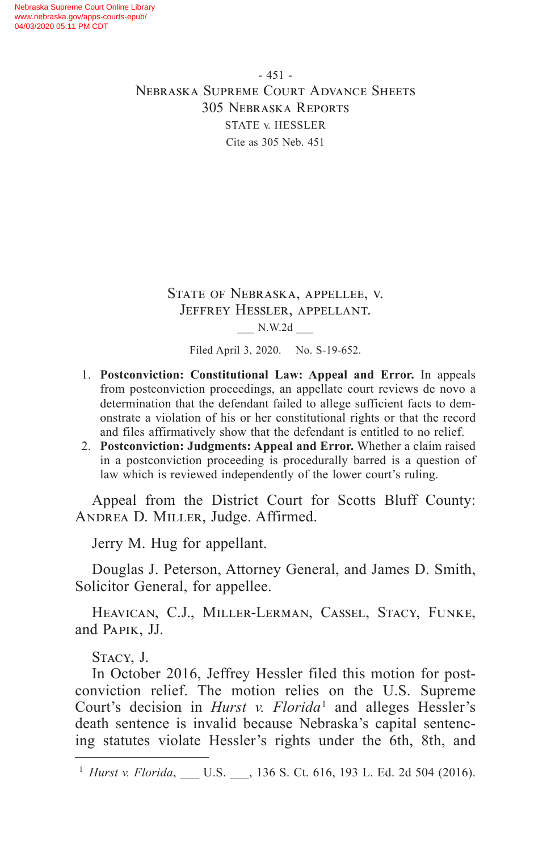- 451 - Nebraska Supreme Court Advance Sheets 305 Nebraska Reports STATE v. HESSLER Cite as 305 Neb. 451

> State of Nebraska, appellee, v. Jeffrey Hessler, appellant. \_\_\_ N.W.2d \_\_\_

> > Filed April 3, 2020. No. S-19-652.

- 1. **Postconviction: Constitutional Law: Appeal and Error.** In appeals from postconviction proceedings, an appellate court reviews de novo a determination that the defendant failed to allege sufficient facts to demonstrate a violation of his or her constitutional rights or that the record and files affirmatively show that the defendant is entitled to no relief.
- 2. **Postconviction: Judgments: Appeal and Error.** Whether a claim raised in a postconviction proceeding is procedurally barred is a question of law which is reviewed independently of the lower court's ruling.

Appeal from the District Court for Scotts Bluff County: ANDREA D. MILLER, Judge. Affirmed.

Jerry M. Hug for appellant.

Douglas J. Peterson, Attorney General, and James D. Smith, Solicitor General, for appellee.

Heavican, C.J., Miller-Lerman, Cassel, Stacy, Funke, and Papik, JJ.

Stacy, J.

In October 2016, Jeffrey Hessler filed this motion for postconviction relief. The motion relies on the U.S. Supreme Court's decision in *Hurst v. Florida* 1 and alleges Hessler's death sentence is invalid because Nebraska's capital sentencing statutes violate Hessler's rights under the 6th, 8th, and

<sup>&</sup>lt;sup>1</sup> *Hurst v. Florida*, \_\_\_ U.S. \_\_\_, 136 S. Ct. 616, 193 L. Ed. 2d 504 (2016).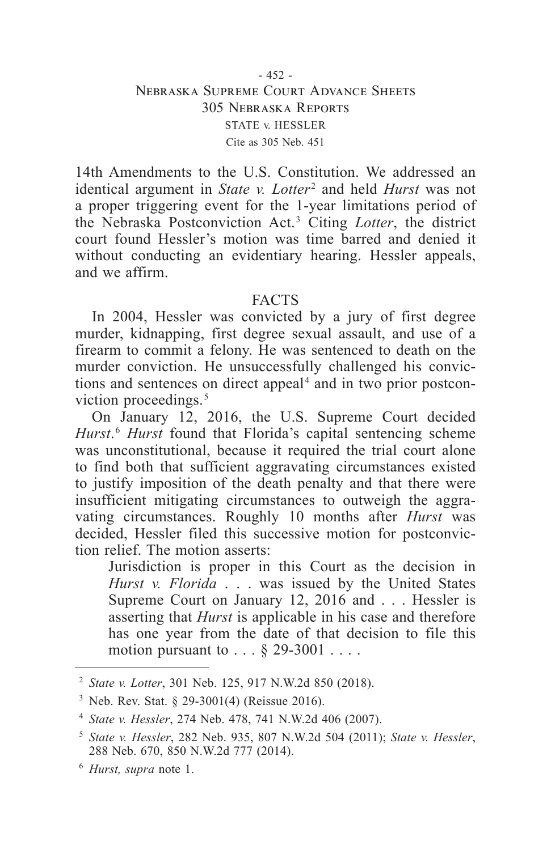14th Amendments to the U.S. Constitution. We addressed an identical argument in *State v. Lotter* 2 and held *Hurst* was not a proper triggering event for the 1-year limitations period of the Nebraska Postconviction Act. 3 Citing *Lotter*, the district court found Hessler's motion was time barred and denied it without conducting an evidentiary hearing. Hessler appeals, and we affirm.

# FACTS

In 2004, Hessler was convicted by a jury of first degree murder, kidnapping, first degree sexual assault, and use of a firearm to commit a felony. He was sentenced to death on the murder conviction. He unsuccessfully challenged his convictions and sentences on direct appeal<sup>4</sup> and in two prior postconviction proceedings.<sup>5</sup>

On January 12, 2016, the U.S. Supreme Court decided *Hurst*. <sup>6</sup> *Hurst* found that Florida's capital sentencing scheme was unconstitutional, because it required the trial court alone to find both that sufficient aggravating circumstances existed to justify imposition of the death penalty and that there were insufficient mitigating circumstances to outweigh the aggravating circumstances. Roughly 10 months after *Hurst* was decided, Hessler filed this successive motion for postconviction relief. The motion asserts:

Jurisdiction is proper in this Court as the decision in *Hurst v. Florida* . . . was issued by the United States Supreme Court on January 12, 2016 and . . . Hessler is asserting that *Hurst* is applicable in his case and therefore has one year from the date of that decision to file this motion pursuant to  $\ldots$  § 29-3001  $\ldots$ .

<sup>2</sup> *State v. Lotter*, 301 Neb. 125, 917 N.W.2d 850 (2018).

<sup>&</sup>lt;sup>3</sup> Neb. Rev. Stat. § 29-3001(4) (Reissue 2016).

<sup>4</sup> *State v. Hessler*, 274 Neb. 478, 741 N.W.2d 406 (2007).

<sup>5</sup> *State v. Hessler*, 282 Neb. 935, 807 N.W.2d 504 (2011); *State v. Hessler*, 288 Neb. 670, 850 N.W.2d 777 (2014).

<sup>6</sup> *Hurst, supra* note 1.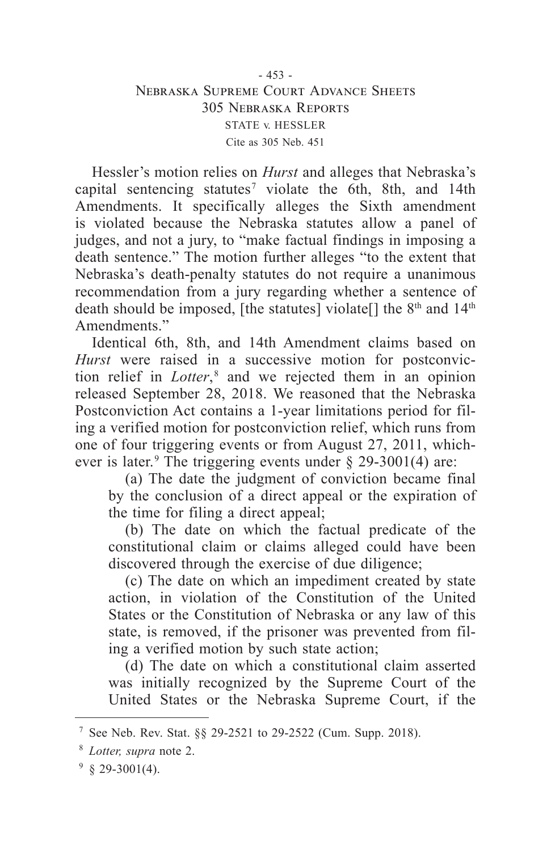## - 453 - Nebraska Supreme Court Advance Sheets 305 Nebraska Reports STATE v. HESSLER Cite as 305 Neb. 451

Hessler's motion relies on *Hurst* and alleges that Nebraska's capital sentencing statutes<sup>7</sup> violate the 6th, 8th, and 14th Amendments. It specifically alleges the Sixth amendment is violated because the Nebraska statutes allow a panel of judges, and not a jury, to "make factual findings in imposing a death sentence." The motion further alleges "to the extent that Nebraska's death-penalty statutes do not require a unanimous recommendation from a jury regarding whether a sentence of death should be imposed, [the statutes] violate[] the 8<sup>th</sup> and 14<sup>th</sup> Amendments."

Identical 6th, 8th, and 14th Amendment claims based on *Hurst* were raised in a successive motion for postconviction relief in *Lotter*,<sup>8</sup> and we rejected them in an opinion released September 28, 2018. We reasoned that the Nebraska Postconviction Act contains a 1-year limitations period for filing a verified motion for postconviction relief, which runs from one of four triggering events or from August 27, 2011, whichever is later.<sup>9</sup> The triggering events under  $\S$  29-3001(4) are:

(a) The date the judgment of conviction became final by the conclusion of a direct appeal or the expiration of the time for filing a direct appeal;

(b) The date on which the factual predicate of the constitutional claim or claims alleged could have been discovered through the exercise of due diligence;

(c) The date on which an impediment created by state action, in violation of the Constitution of the United States or the Constitution of Nebraska or any law of this state, is removed, if the prisoner was prevented from filing a verified motion by such state action;

(d) The date on which a constitutional claim asserted was initially recognized by the Supreme Court of the United States or the Nebraska Supreme Court, if the

<sup>7</sup> See Neb. Rev. Stat. §§ 29-2521 to 29-2522 (Cum. Supp. 2018).

<sup>8</sup> *Lotter, supra* note 2.

 $9829 - 3001(4)$ .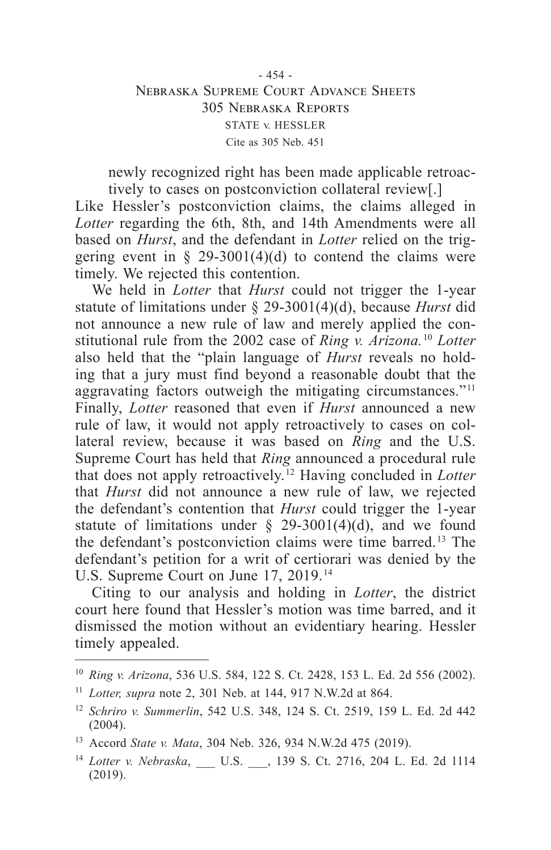## - 454 - Nebraska Supreme Court Advance Sheets 305 Nebraska Reports STATE v. HESSLER Cite as 305 Neb. 451

newly recognized right has been made applicable retroactively to cases on postconviction collateral review[.]

Like Hessler's postconviction claims, the claims alleged in *Lotter* regarding the 6th, 8th, and 14th Amendments were all based on *Hurst*, and the defendant in *Lotter* relied on the triggering event in  $\S$  29-3001(4)(d) to contend the claims were timely. We rejected this contention.

We held in *Lotter* that *Hurst* could not trigger the 1-year statute of limitations under § 29-3001(4)(d), because *Hurst* did not announce a new rule of law and merely applied the constitutional rule from the 2002 case of *Ring v. Arizona.*<sup>10</sup> *Lotter* also held that the "plain language of *Hurst* reveals no holding that a jury must find beyond a reasonable doubt that the aggravating factors outweigh the mitigating circumstances."<sup>11</sup> Finally, *Lotter* reasoned that even if *Hurst* announced a new rule of law, it would not apply retroactively to cases on collateral review, because it was based on *Ring* and the U.S. Supreme Court has held that *Ring* announced a procedural rule that does not apply retroactively. 12 Having concluded in *Lotter* that *Hurst* did not announce a new rule of law, we rejected the defendant's contention that *Hurst* could trigger the 1-year statute of limitations under  $\S$  29-3001(4)(d), and we found the defendant's postconviction claims were time barred. 13 The defendant's petition for a writ of certiorari was denied by the U.S. Supreme Court on June 17, 2019. 14

Citing to our analysis and holding in *Lotter*, the district court here found that Hessler's motion was time barred, and it dismissed the motion without an evidentiary hearing. Hessler timely appealed.

<sup>10</sup> *Ring v. Arizona*, 536 U.S. 584, 122 S. Ct. 2428, 153 L. Ed. 2d 556 (2002).

<sup>11</sup> *Lotter, supra* note 2, 301 Neb. at 144, 917 N.W.2d at 864.

<sup>12</sup> *Schriro v. Summerlin*, 542 U.S. 348, 124 S. Ct. 2519, 159 L. Ed. 2d 442 (2004).

<sup>13</sup> Accord *State v. Mata*, 304 Neb. 326, 934 N.W.2d 475 (2019).

<sup>14</sup> *Lotter v. Nebraska*, \_\_\_ U.S. \_\_\_, 139 S. Ct. 2716, 204 L. Ed. 2d 1114 (2019).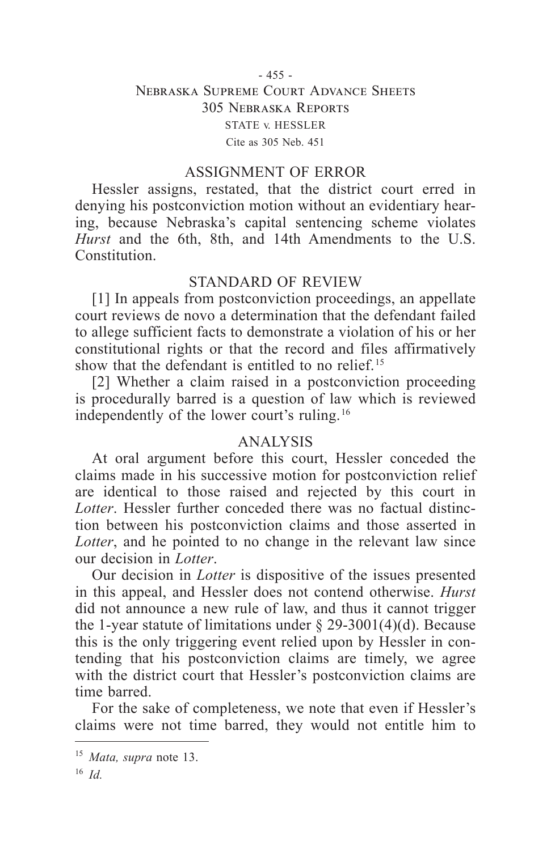## - 455 - Nebraska Supreme Court Advance Sheets 305 Nebraska Reports STATE v. HESSLER Cite as 305 Neb. 451

#### ASSIGNMENT OF ERROR

Hessler assigns, restated, that the district court erred in denying his postconviction motion without an evidentiary hearing, because Nebraska's capital sentencing scheme violates *Hurst* and the 6th, 8th, and 14th Amendments to the U.S. **Constitution** 

## STANDARD OF REVIEW

[1] In appeals from postconviction proceedings, an appellate court reviews de novo a determination that the defendant failed to allege sufficient facts to demonstrate a violation of his or her constitutional rights or that the record and files affirmatively show that the defendant is entitled to no relief. 15

[2] Whether a claim raised in a postconviction proceeding is procedurally barred is a question of law which is reviewed independently of the lower court's ruling. 16

#### ANALYSIS

At oral argument before this court, Hessler conceded the claims made in his successive motion for postconviction relief are identical to those raised and rejected by this court in *Lotter*. Hessler further conceded there was no factual distinction between his postconviction claims and those asserted in *Lotter*, and he pointed to no change in the relevant law since our decision in *Lotter*.

Our decision in *Lotter* is dispositive of the issues presented in this appeal, and Hessler does not contend otherwise. *Hurst* did not announce a new rule of law, and thus it cannot trigger the 1-year statute of limitations under  $\S 29-3001(4)(d)$ . Because this is the only triggering event relied upon by Hessler in contending that his postconviction claims are timely, we agree with the district court that Hessler's postconviction claims are time barred.

For the sake of completeness, we note that even if Hessler's claims were not time barred, they would not entitle him to

<sup>15</sup> *Mata, supra* note 13.

<sup>16</sup> *Id.*